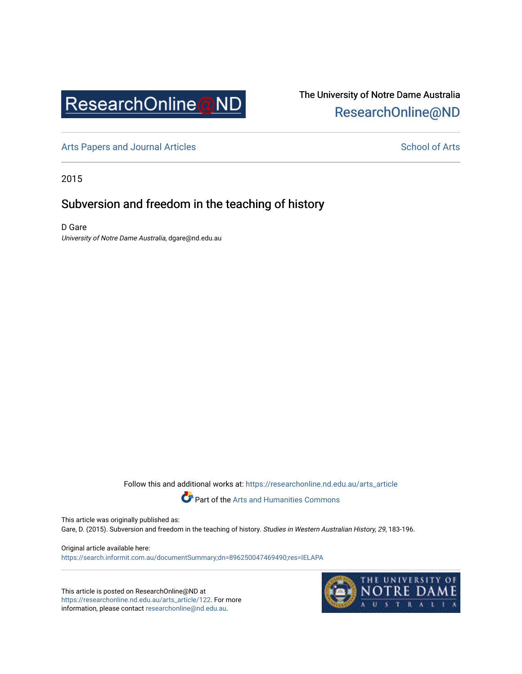

# The University of Notre Dame Australia [ResearchOnline@ND](https://researchonline.nd.edu.au/)

[Arts Papers and Journal Articles](https://researchonline.nd.edu.au/arts_article) and [School of Arts](https://researchonline.nd.edu.au/arts) School of Arts

2015

## Subversion and freedom in the teaching of history

D Gare University of Notre Dame Australia, dgare@nd.edu.au

Follow this and additional works at: [https://researchonline.nd.edu.au/arts\\_article](https://researchonline.nd.edu.au/arts_article?utm_source=researchonline.nd.edu.au%2Farts_article%2F122&utm_medium=PDF&utm_campaign=PDFCoverPages) 



Part of the [Arts and Humanities Commons](http://network.bepress.com/hgg/discipline/438?utm_source=researchonline.nd.edu.au%2Farts_article%2F122&utm_medium=PDF&utm_campaign=PDFCoverPages) 

This article was originally published as: Gare, D. (2015). Subversion and freedom in the teaching of history. Studies in Western Australian History, 29, 183-196.

Original article available here: <https://search.informit.com.au/documentSummary;dn=896250047469490;res=IELAPA>

This article is posted on ResearchOnline@ND at [https://researchonline.nd.edu.au/arts\\_article/122](https://researchonline.nd.edu.au/arts_article/122). For more information, please contact [researchonline@nd.edu.au.](mailto:researchonline@nd.edu.au)

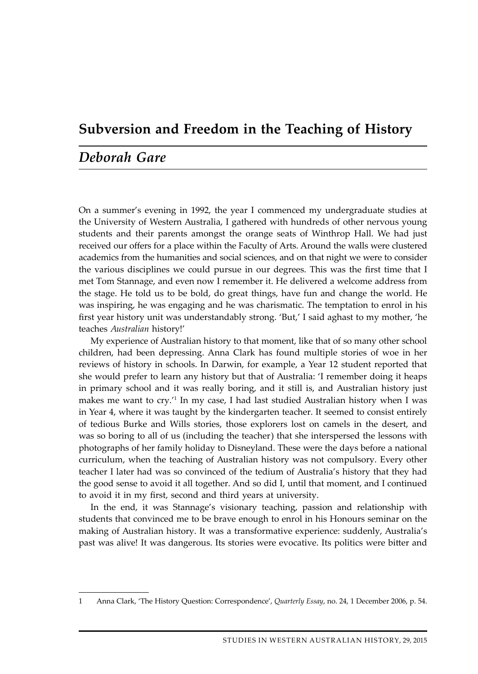### **Subversion and Freedom in the Teaching of History**

### *Deborah Gare*

On a summer's evening in 1992, the year I commenced my undergraduate studies at the University of Western Australia, I gathered with hundreds of other nervous young students and their parents amongst the orange seats of Winthrop Hall. We had just received our offers for a place within the Faculty of Arts. Around the walls were clustered academics from the humanities and social sciences, and on that night we were to consider the various disciplines we could pursue in our degrees. This was the first time that I met Tom Stannage, and even now I remember it. He delivered a welcome address from the stage. He told us to be bold, do great things, have fun and change the world. He was inspiring, he was engaging and he was charismatic. The temptation to enrol in his first year history unit was understandably strong. 'But,' I said aghast to my mother, 'he teaches *Australian* history!'

My experience of Australian history to that moment, like that of so many other school children, had been depressing. Anna Clark has found multiple stories of woe in her reviews of history in schools. In Darwin, for example, a Year 12 student reported that she would prefer to learn any history but that of Australia: 'I remember doing it heaps in primary school and it was really boring, and it still is, and Australian history just makes me want to cry.<sup>'1</sup> In my case, I had last studied Australian history when I was in Year 4, where it was taught by the kindergarten teacher. It seemed to consist entirely of tedious Burke and Wills stories, those explorers lost on camels in the desert, and was so boring to all of us (including the teacher) that she interspersed the lessons with photographs of her family holiday to Disneyland. These were the days before a national curriculum, when the teaching of Australian history was not compulsory. Every other teacher I later had was so convinced of the tedium of Australia's history that they had the good sense to avoid it all together. And so did I, until that moment, and I continued to avoid it in my first, second and third years at university.

In the end, it was Stannage's visionary teaching, passion and relationship with students that convinced me to be brave enough to enrol in his Honours seminar on the making of Australian history. It was a transformative experience: suddenly, Australia's past was alive! It was dangerous. Its stories were evocative. Its politics were bitter and

<sup>1</sup> Anna Clark, 'The History Question: Correspondence', *Quarterly Essay*, no. 24, 1 December 2006, p. 54.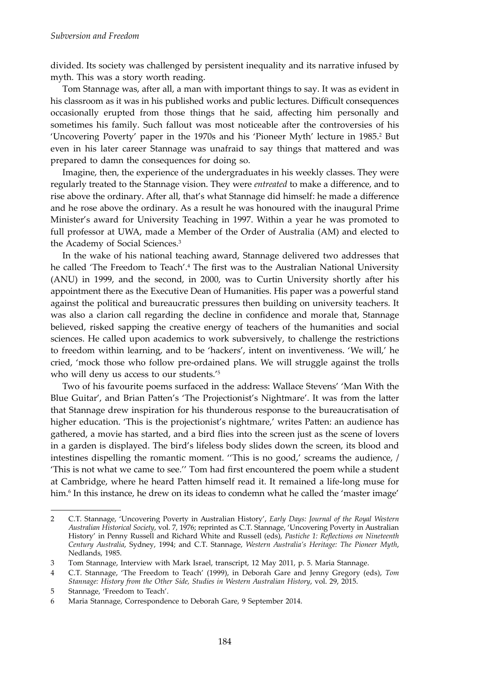divided. Its society was challenged by persistent inequality and its narrative infused by myth. This was a story worth reading.

Tom Stannage was, after all, a man with important things to say. It was as evident in his classroom as it was in his published works and public lectures. Difficult consequences occasionally erupted from those things that he said, affecting him personally and sometimes his family. Such fallout was most noticeable after the controversies of his 'Uncovering Poverty' paper in the 1970s and his 'Pioneer Myth' lecture in 1985.2 But even in his later career Stannage was unafraid to say things that mattered and was prepared to damn the consequences for doing so.

Imagine, then, the experience of the undergraduates in his weekly classes. They were regularly treated to the Stannage vision. They were *entreated* to make a difference, and to rise above the ordinary. After all, that's what Stannage did himself: he made a difference and he rose above the ordinary. As a result he was honoured with the inaugural Prime Minister's award for University Teaching in 1997. Within a year he was promoted to full professor at UWA, made a Member of the Order of Australia (AM) and elected to the Academy of Social Sciences.<sup>3</sup>

In the wake of his national teaching award, Stannage delivered two addresses that he called 'The Freedom to Teach'.4 The first was to the Australian National University (ANU) in 1999, and the second, in 2000, was to Curtin University shortly after his appointment there as the Executive Dean of Humanities. His paper was a powerful stand against the political and bureaucratic pressures then building on university teachers. It was also a clarion call regarding the decline in confidence and morale that, Stannage believed, risked sapping the creative energy of teachers of the humanities and social sciences. He called upon academics to work subversively, to challenge the restrictions to freedom within learning, and to be 'hackers', intent on inventiveness. 'We will,' he cried, 'mock those who follow pre-ordained plans. We will struggle against the trolls who will deny us access to our students.'5

Two of his favourite poems surfaced in the address: Wallace Stevens' 'Man With the Blue Guitar', and Brian Patten's 'The Projectionist's Nightmare'. It was from the latter that Stannage drew inspiration for his thunderous response to the bureaucratisation of higher education. 'This is the projectionist's nightmare,' writes Patten: an audience has gathered, a movie has started, and a bird flies into the screen just as the scene of lovers in a garden is displayed. The bird's lifeless body slides down the screen, its blood and intestines dispelling the romantic moment. ''This is no good,' screams the audience, / 'This is not what we came to see.'' Tom had first encountered the poem while a student at Cambridge, where he heard Patten himself read it. It remained a life-long muse for him.6 In this instance, he drew on its ideas to condemn what he called the 'master image'

<sup>2</sup> C.T. Stannage, 'Uncovering Poverty in Australian History', *Early Days: Journal of the Royal Western Australian Historical Society*, vol. 7, 1976; reprinted as C.T. Stannage, 'Uncovering Poverty in Australian History' in Penny Russell and Richard White and Russell (eds), *Pastiche 1: Reflections on Nineteenth Century Australia*, Sydney, 1994; and C.T. Stannage, *Western Australia's Heritage: The Pioneer Myth*, Nedlands, 1985.

<sup>3</sup> Tom Stannage, Interview with Mark Israel, transcript, 12 May 2011, p. 5. Maria Stannage.

<sup>4</sup> C.T. Stannage, 'The Freedom to Teach' (1999), in Deborah Gare and Jenny Gregory (eds), *Tom Stannage: History from the Other Side, Studies in Western Australian History*, vol. 29, 2015.

<sup>5</sup> Stannage, 'Freedom to Teach'.

<sup>6</sup> Maria Stannage, Correspondence to Deborah Gare, 9 September 2014.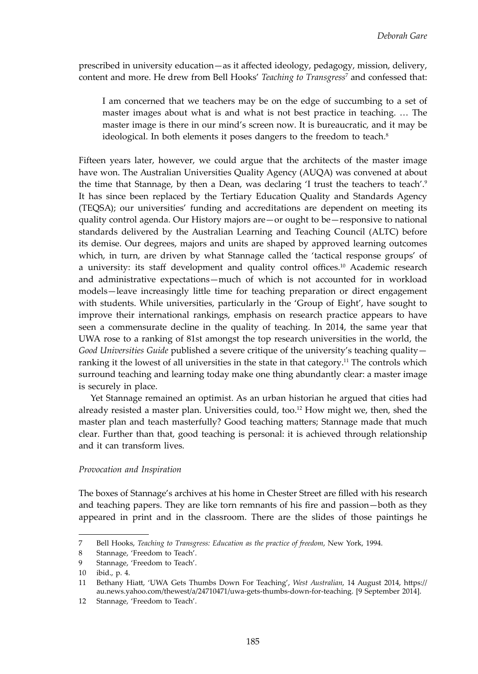prescribed in university education—as it affected ideology, pedagogy, mission, delivery, content and more. He drew from Bell Hooks' *Teaching to Transgress*<sup>7</sup> and confessed that:

I am concerned that we teachers may be on the edge of succumbing to a set of master images about what is and what is not best practice in teaching. … The master image is there in our mind's screen now. It is bureaucratic, and it may be ideological. In both elements it poses dangers to the freedom to teach.<sup>8</sup>

Fifteen years later, however, we could argue that the architects of the master image have won. The Australian Universities Quality Agency (AUQA) was convened at about the time that Stannage, by then a Dean, was declaring 'I trust the teachers to teach'.<sup>9</sup> It has since been replaced by the Tertiary Education Quality and Standards Agency (TEQSA); our universities' funding and accreditations are dependent on meeting its quality control agenda. Our History majors are—or ought to be—responsive to national standards delivered by the Australian Learning and Teaching Council (ALTC) before its demise. Our degrees, majors and units are shaped by approved learning outcomes which, in turn, are driven by what Stannage called the 'tactical response groups' of a university: its staff development and quality control offices.10 Academic research and administrative expectations—much of which is not accounted for in workload models—leave increasingly little time for teaching preparation or direct engagement with students. While universities, particularly in the 'Group of Eight', have sought to improve their international rankings, emphasis on research practice appears to have seen a commensurate decline in the quality of teaching. In 2014, the same year that UWA rose to a ranking of 81st amongst the top research universities in the world, the *Good Universities Guide* published a severe critique of the university's teaching quality ranking it the lowest of all universities in the state in that category.<sup>11</sup> The controls which surround teaching and learning today make one thing abundantly clear: a master image is securely in place.

Yet Stannage remained an optimist. As an urban historian he argued that cities had already resisted a master plan. Universities could, too.<sup>12</sup> How might we, then, shed the master plan and teach masterfully? Good teaching matters; Stannage made that much clear. Further than that, good teaching is personal: it is achieved through relationship and it can transform lives.

#### *Provocation and Inspiration*

The boxes of Stannage's archives at his home in Chester Street are filled with his research and teaching papers. They are like torn remnants of his fire and passion—both as they appeared in print and in the classroom. There are the slides of those paintings he

<sup>7</sup> Bell Hooks, *Teaching to Transgress: Education as the practice of freedom*, New York, 1994.

<sup>8</sup> Stannage, 'Freedom to Teach'.

<sup>9</sup> Stannage, 'Freedom to Teach'.

<sup>10</sup> ibid., p. 4.

<sup>11</sup> Bethany Hiatt, 'UWA Gets Thumbs Down For Teaching', *West Australian*, 14 August 2014, https:// au.news.yahoo.com/thewest/a/24710471/uwa-gets-thumbs-down-for-teaching. [9 September 2014].

<sup>12</sup> Stannage, 'Freedom to Teach'.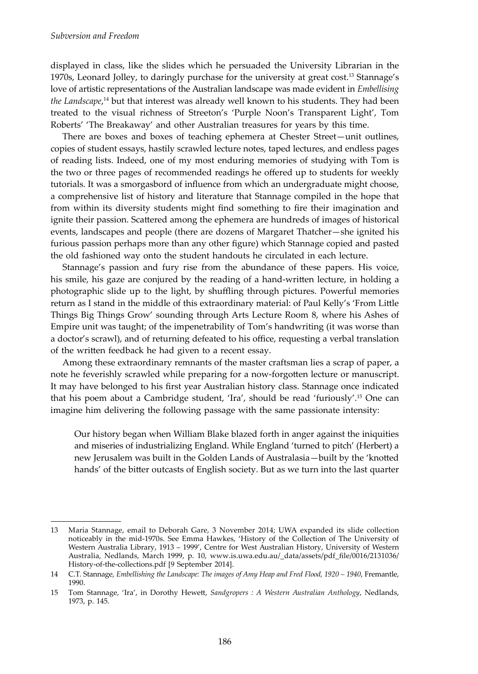displayed in class, like the slides which he persuaded the University Librarian in the 1970s, Leonard Jolley, to daringly purchase for the university at great cost.13 Stannage's love of artistic representations of the Australian landscape was made evident in *Embellising the Landscape*, 14 but that interest was already well known to his students. They had been treated to the visual richness of Streeton's 'Purple Noon's Transparent Light', Tom Roberts' 'The Breakaway' and other Australian treasures for years by this time.

There are boxes and boxes of teaching ephemera at Chester Street—unit outlines, copies of student essays, hastily scrawled lecture notes, taped lectures, and endless pages of reading lists. Indeed, one of my most enduring memories of studying with Tom is the two or three pages of recommended readings he offered up to students for weekly tutorials. It was a smorgasbord of influence from which an undergraduate might choose, a comprehensive list of history and literature that Stannage compiled in the hope that from within its diversity students might find something to fire their imagination and ignite their passion. Scattered among the ephemera are hundreds of images of historical events, landscapes and people (there are dozens of Margaret Thatcher—she ignited his furious passion perhaps more than any other figure) which Stannage copied and pasted the old fashioned way onto the student handouts he circulated in each lecture.

Stannage's passion and fury rise from the abundance of these papers. His voice, his smile, his gaze are conjured by the reading of a hand-written lecture, in holding a photographic slide up to the light, by shuffling through pictures. Powerful memories return as I stand in the middle of this extraordinary material: of Paul Kelly's 'From Little Things Big Things Grow' sounding through Arts Lecture Room 8, where his Ashes of Empire unit was taught; of the impenetrability of Tom's handwriting (it was worse than a doctor's scrawl), and of returning defeated to his office, requesting a verbal translation of the written feedback he had given to a recent essay.

Among these extraordinary remnants of the master craftsman lies a scrap of paper, a note he feverishly scrawled while preparing for a now-forgotten lecture or manuscript. It may have belonged to his first year Australian history class. Stannage once indicated that his poem about a Cambridge student, 'Ira', should be read 'furiously'.15 One can imagine him delivering the following passage with the same passionate intensity:

Our history began when William Blake blazed forth in anger against the iniquities and miseries of industrializing England. While England 'turned to pitch' (Herbert) a new Jerusalem was built in the Golden Lands of Australasia—built by the 'knotted hands' of the bitter outcasts of English society. But as we turn into the last quarter

<sup>13</sup> Maria Stannage, email to Deborah Gare, 3 November 2014; UWA expanded its slide collection noticeably in the mid-1970s. See Emma Hawkes, 'History of the Collection of The University of Western Australia Library, 1913 – 1999', Centre for West Australian History, University of Western Australia, Nedlands, March 1999, p. 10, www.is.uwa.edu.au/\_data/assets/pdf\_file/0016/2131036/ History-of-the-collections.pdf [9 September 2014].

<sup>14</sup> C.T. Stannage, *Embellishing the Landscape: The images of Amy Heap and Fred Flood, 1920 – 1940*, Fremantle, 1990.

<sup>15</sup> Tom Stannage, 'Ira', in Dorothy Hewett, *Sandgropers : A Western Australian Anthology*, Nedlands, 1973, p. 145.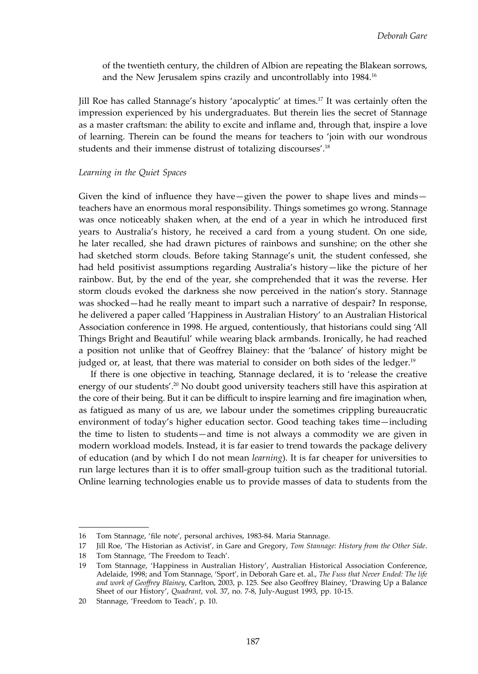of the twentieth century, the children of Albion are repeating the Blakean sorrows, and the New Jerusalem spins crazily and uncontrollably into 1984.16

Jill Roe has called Stannage's history 'apocalyptic' at times.17 It was certainly often the impression experienced by his undergraduates. But therein lies the secret of Stannage as a master craftsman: the ability to excite and inflame and, through that, inspire a love of learning. Therein can be found the means for teachers to 'join with our wondrous students and their immense distrust of totalizing discourses'.18

#### *Learning in the Quiet Spaces*

Given the kind of influence they have—given the power to shape lives and minds teachers have an enormous moral responsibility. Things sometimes go wrong. Stannage was once noticeably shaken when, at the end of a year in which he introduced first years to Australia's history, he received a card from a young student. On one side, he later recalled, she had drawn pictures of rainbows and sunshine; on the other she had sketched storm clouds. Before taking Stannage's unit, the student confessed, she had held positivist assumptions regarding Australia's history—like the picture of her rainbow. But, by the end of the year, she comprehended that it was the reverse. Her storm clouds evoked the darkness she now perceived in the nation's story. Stannage was shocked—had he really meant to impart such a narrative of despair? In response, he delivered a paper called 'Happiness in Australian History' to an Australian Historical Association conference in 1998. He argued, contentiously, that historians could sing 'All Things Bright and Beautiful' while wearing black armbands. Ironically, he had reached a position not unlike that of Geoffrey Blainey: that the 'balance' of history might be judged or, at least, that there was material to consider on both sides of the ledger.<sup>19</sup>

If there is one objective in teaching, Stannage declared, it is to 'release the creative energy of our students'.20 No doubt good university teachers still have this aspiration at the core of their being. But it can be difficult to inspire learning and fire imagination when, as fatigued as many of us are, we labour under the sometimes crippling bureaucratic environment of today's higher education sector. Good teaching takes time—including the time to listen to students—and time is not always a commodity we are given in modern workload models. Instead, it is far easier to trend towards the package delivery of education (and by which I do not mean *learning*). It is far cheaper for universities to run large lectures than it is to offer small-group tuition such as the traditional tutorial. Online learning technologies enable us to provide masses of data to students from the

<sup>16</sup> Tom Stannage, 'file note', personal archives, 1983-84. Maria Stannage.

<sup>17</sup> Jill Roe, 'The Historian as Activist', in Gare and Gregory, *Tom Stannage: History from the Other Side*.

<sup>18</sup> Tom Stannage, 'The Freedom to Teach'.

<sup>19</sup> Tom Stannage, 'Happiness in Australian History', Australian Historical Association Conference, Adelaide, 1998; and Tom Stannage, 'Sport', in Deborah Gare et. al., *The Fuss that Never Ended: The life and work of Geoffrey Blainey*, Carlton, 2003, p. 125. See also Geoffrey Blainey, 'Drawing Up a Balance Sheet of our History', *Quadrant*, vol. 37, no. 7-8, July-August 1993, pp. 10-15.

<sup>20</sup> Stannage, 'Freedom to Teach', p. 10.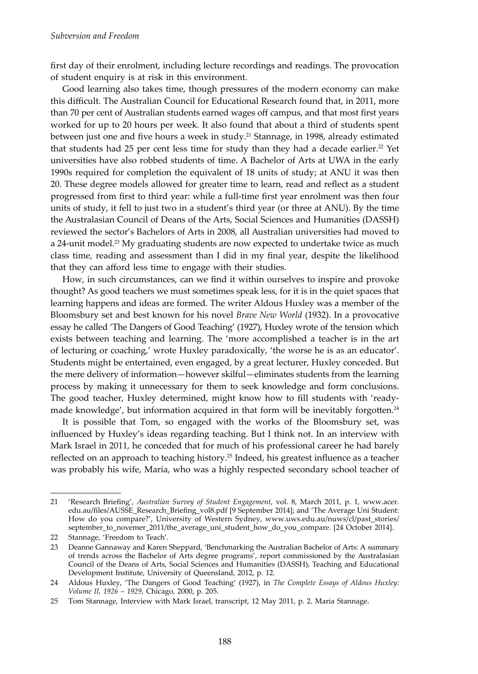first day of their enrolment, including lecture recordings and readings. The provocation of student enquiry is at risk in this environment.

Good learning also takes time, though pressures of the modern economy can make this difficult. The Australian Council for Educational Research found that, in 2011, more than 70 per cent of Australian students earned wages off campus, and that most first years worked for up to 20 hours per week. It also found that about a third of students spent between just one and five hours a week in study.<sup>21</sup> Stannage, in 1998, already estimated that students had 25 per cent less time for study than they had a decade earlier.<sup>22</sup> Yet universities have also robbed students of time. A Bachelor of Arts at UWA in the early 1990s required for completion the equivalent of 18 units of study; at ANU it was then 20. These degree models allowed for greater time to learn, read and reflect as a student progressed from first to third year: while a full-time first year enrolment was then four units of study, it fell to just two in a student's third year (or three at ANU). By the time the Australasian Council of Deans of the Arts, Social Sciences and Humanities (DASSH) reviewed the sector's Bachelors of Arts in 2008, all Australian universities had moved to a 24-unit model.<sup>23</sup> My graduating students are now expected to undertake twice as much class time, reading and assessment than I did in my final year, despite the likelihood that they can afford less time to engage with their studies.

How, in such circumstances, can we find it within ourselves to inspire and provoke thought? As good teachers we must sometimes speak less, for it is in the quiet spaces that learning happens and ideas are formed. The writer Aldous Huxley was a member of the Bloomsbury set and best known for his novel *Brave New World* (1932). In a provocative essay he called 'The Dangers of Good Teaching' (1927), Huxley wrote of the tension which exists between teaching and learning. The 'more accomplished a teacher is in the art of lecturing or coaching,' wrote Huxley paradoxically, 'the worse he is as an educator'. Students might be entertained, even engaged, by a great lecturer, Huxley conceded. But the mere delivery of information—however skilful—eliminates students from the learning process by making it unnecessary for them to seek knowledge and form conclusions. The good teacher, Huxley determined, might know how to fill students with 'readymade knowledge', but information acquired in that form will be inevitably forgotten.<sup>24</sup>

It is possible that Tom, so engaged with the works of the Bloomsbury set, was influenced by Huxley's ideas regarding teaching. But I think not. In an interview with Mark Israel in 2011, he conceded that for much of his professional career he had barely reflected on an approach to teaching history.<sup>25</sup> Indeed, his greatest influence as a teacher was probably his wife, Maria, who was a highly respected secondary school teacher of

<sup>21</sup> 'Research Briefing', *Australian Survey of Student Engagement*, vol. 8, March 2011, p. 1, www.acer. edu.au/files/AUSSE\_Research\_Briefing\_vol8.pdf [9 September 2014]; and 'The Average Uni Student: How do you compare?', University of Western Sydney, www.uws.edu.au/nuws/cl/past\_stories/ september\_to\_novemer\_2011/the\_average\_uni\_student\_how\_do\_you\_compare. [24 October 2014].

<sup>22</sup> Stannage, 'Freedom to Teach'.

<sup>23</sup> Deanne Gannaway and Karen Sheppard, 'Benchmarking the Australian Bachelor of Arts: A summary of trends across the Bachelor of Arts degree programs', report commissioned by the Australasian Council of the Deans of Arts, Social Sciences and Humanities (DASSH), Teaching and Educational Development Institute, University of Queensland, 2012, p. 12.

<sup>24</sup> Aldous Huxley, 'The Dangers of Good Teaching' (1927), in *The Complete Essays of Aldous Huxley: Volume II, 1926 – 1929*, Chicago, 2000, p. 205.

<sup>25</sup> Tom Stannage, Interview with Mark Israel, transcript, 12 May 2011, p. 2. Maria Stannage.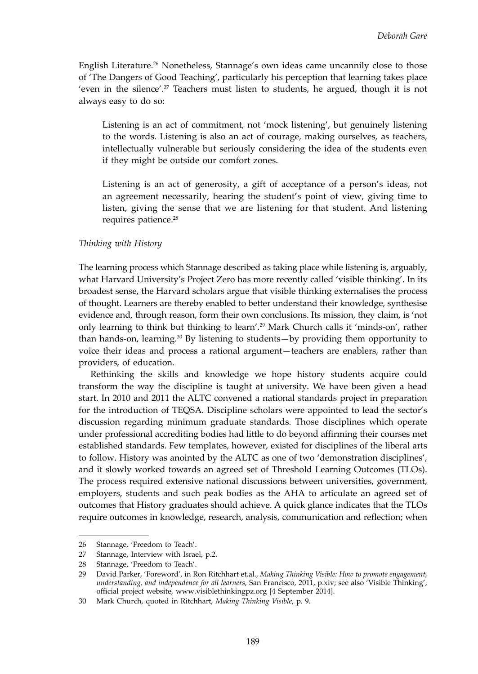English Literature.26 Nonetheless, Stannage's own ideas came uncannily close to those of 'The Dangers of Good Teaching', particularly his perception that learning takes place 'even in the silence'.<sup>27</sup> Teachers must listen to students, he argued, though it is not always easy to do so:

Listening is an act of commitment, not 'mock listening', but genuinely listening to the words. Listening is also an act of courage, making ourselves, as teachers, intellectually vulnerable but seriously considering the idea of the students even if they might be outside our comfort zones.

Listening is an act of generosity, a gift of acceptance of a person's ideas, not an agreement necessarily, hearing the student's point of view, giving time to listen, giving the sense that we are listening for that student. And listening requires patience.<sup>28</sup>

#### *Thinking with History*

The learning process which Stannage described as taking place while listening is, arguably, what Harvard University's Project Zero has more recently called 'visible thinking'. In its broadest sense, the Harvard scholars argue that visible thinking externalises the process of thought. Learners are thereby enabled to better understand their knowledge, synthesise evidence and, through reason, form their own conclusions. Its mission, they claim, is 'not only learning to think but thinking to learn'.29 Mark Church calls it 'minds-on', rather than hands-on, learning. $30$  By listening to students—by providing them opportunity to voice their ideas and process a rational argument—teachers are enablers, rather than providers, of education.

Rethinking the skills and knowledge we hope history students acquire could transform the way the discipline is taught at university. We have been given a head start. In 2010 and 2011 the ALTC convened a national standards project in preparation for the introduction of TEQSA. Discipline scholars were appointed to lead the sector's discussion regarding minimum graduate standards. Those disciplines which operate under professional accrediting bodies had little to do beyond affirming their courses met established standards. Few templates, however, existed for disciplines of the liberal arts to follow. History was anointed by the ALTC as one of two 'demonstration disciplines', and it slowly worked towards an agreed set of Threshold Learning Outcomes (TLOs). The process required extensive national discussions between universities, government, employers, students and such peak bodies as the AHA to articulate an agreed set of outcomes that History graduates should achieve. A quick glance indicates that the TLOs require outcomes in knowledge, research, analysis, communication and reflection; when

<sup>26</sup> Stannage, 'Freedom to Teach'.

<sup>27</sup> Stannage, Interview with Israel, p.2.

<sup>28</sup> Stannage, 'Freedom to Teach'.

<sup>29</sup> David Parker, 'Foreword', in Ron Ritchhart et.al., *Making Thinking Visible: How to promote engagement, understanding, and independence for all learners*, San Francisco, 2011, p.xiv; see also 'Visible Thinking', official project website, www.visiblethinkingpz.org [4 September 2014].

<sup>30</sup> Mark Church, quoted in Ritchhart, *Making Thinking Visible*, p. 9.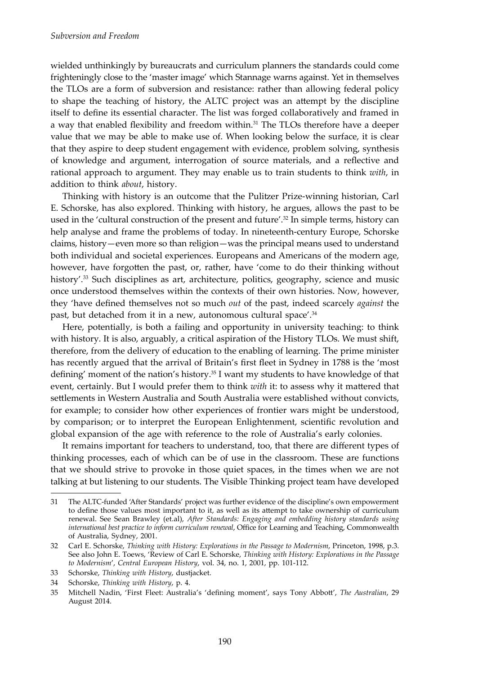wielded unthinkingly by bureaucrats and curriculum planners the standards could come frighteningly close to the 'master image' which Stannage warns against. Yet in themselves the TLOs are a form of subversion and resistance: rather than allowing federal policy to shape the teaching of history, the ALTC project was an attempt by the discipline itself to define its essential character. The list was forged collaboratively and framed in a way that enabled flexibility and freedom within.<sup>31</sup> The TLOs therefore have a deeper value that we may be able to make use of. When looking below the surface, it is clear that they aspire to deep student engagement with evidence, problem solving, synthesis of knowledge and argument, interrogation of source materials, and a reflective and rational approach to argument. They may enable us to train students to think *with*, in addition to think *about*, history.

Thinking with history is an outcome that the Pulitzer Prize-winning historian, Carl E. Schorske, has also explored. Thinking with history, he argues, allows the past to be used in the 'cultural construction of the present and future'.<sup>32</sup> In simple terms, history can help analyse and frame the problems of today. In nineteenth-century Europe, Schorske claims, history—even more so than religion—was the principal means used to understand both individual and societal experiences. Europeans and Americans of the modern age, however, have forgotten the past, or, rather, have 'come to do their thinking without history'.<sup>33</sup> Such disciplines as art, architecture, politics, geography, science and music once understood themselves within the contexts of their own histories. Now, however, they 'have defined themselves not so much *out* of the past, indeed scarcely *against* the past, but detached from it in a new, autonomous cultural space'.<sup>34</sup>

Here, potentially, is both a failing and opportunity in university teaching: to think with history. It is also, arguably, a critical aspiration of the History TLOs. We must shift, therefore, from the delivery of education to the enabling of learning. The prime minister has recently argued that the arrival of Britain's first fleet in Sydney in 1788 is the 'most defining' moment of the nation's history.<sup>35</sup> I want my students to have knowledge of that event, certainly. But I would prefer them to think *with* it: to assess why it mattered that settlements in Western Australia and South Australia were established without convicts, for example; to consider how other experiences of frontier wars might be understood, by comparison; or to interpret the European Enlightenment, scientific revolution and global expansion of the age with reference to the role of Australia's early colonies.

It remains important for teachers to understand, too, that there are different types of thinking processes, each of which can be of use in the classroom. These are functions that we should strive to provoke in those quiet spaces, in the times when we are not talking at but listening to our students. The Visible Thinking project team have developed

<sup>31</sup> The ALTC-funded 'After Standards' project was further evidence of the discipline's own empowerment to define those values most important to it, as well as its attempt to take ownership of curriculum renewal. See Sean Brawley (et.al), *After Standards: Engaging and embedding history standards using international best practice to inform curriculum renewal*, Office for Learning and Teaching, Commonwealth of Australia, Sydney, 2001.

<sup>32</sup> Carl E. Schorske, *Thinking with History: Explorations in the Passage to Modernism*, Princeton, 1998, p.3. See also John E. Toews, 'Review of Carl E. Schorske, *Thinking with History: Explorations in the Passage to Modernism*', *Central European History*, vol. 34, no. 1, 2001, pp. 101-112.

<sup>33</sup> Schorske, *Thinking with History*, dustjacket.

<sup>34</sup> Schorske, *Thinking with History*, p. 4.

<sup>35</sup> Mitchell Nadin, 'First Fleet: Australia's 'defining moment', says Tony Abbott', *The Australian*, 29 August 2014.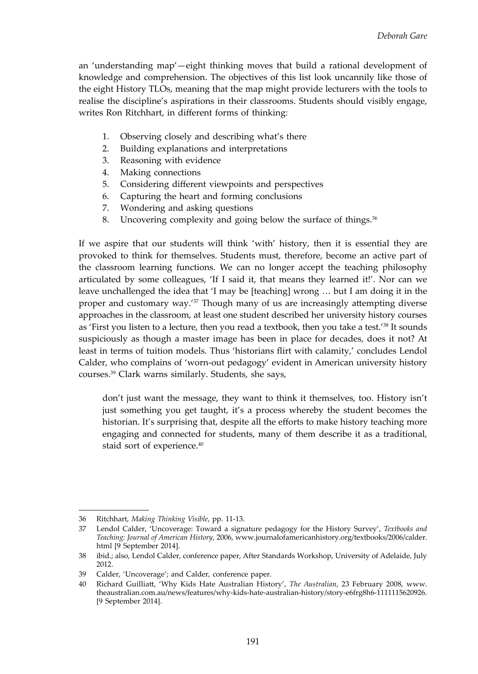an 'understanding map'—eight thinking moves that build a rational development of knowledge and comprehension. The objectives of this list look uncannily like those of the eight History TLOs, meaning that the map might provide lecturers with the tools to realise the discipline's aspirations in their classrooms. Students should visibly engage, writes Ron Ritchhart, in different forms of thinking:

- 1. Observing closely and describing what's there
- 2. Building explanations and interpretations
- 3. Reasoning with evidence
- 4. Making connections
- 5. Considering different viewpoints and perspectives
- 6. Capturing the heart and forming conclusions
- 7. Wondering and asking questions
- 8. Uncovering complexity and going below the surface of things.<sup>36</sup>

If we aspire that our students will think 'with' history, then it is essential they are provoked to think for themselves. Students must, therefore, become an active part of the classroom learning functions. We can no longer accept the teaching philosophy articulated by some colleagues, 'If I said it, that means they learned it!'. Nor can we leave unchallenged the idea that 'I may be [teaching] wrong … but I am doing it in the proper and customary way.'37 Though many of us are increasingly attempting diverse approaches in the classroom, at least one student described her university history courses as 'First you listen to a lecture, then you read a textbook, then you take a test.'38 It sounds suspiciously as though a master image has been in place for decades, does it not? At least in terms of tuition models. Thus 'historians flirt with calamity,' concludes Lendol Calder, who complains of 'worn-out pedagogy' evident in American university history courses.39 Clark warns similarly. Students, she says,

don't just want the message, they want to think it themselves, too. History isn't just something you get taught, it's a process whereby the student becomes the historian. It's surprising that, despite all the efforts to make history teaching more engaging and connected for students, many of them describe it as a traditional, staid sort of experience.<sup>40</sup>

<sup>36</sup> Ritchhart, *Making Thinking Visible*, pp. 11-13.

<sup>37</sup> Lendol Calder, 'Uncoverage: Toward a signature pedagogy for the History Survey', *Textbooks and Teaching: Journal of American History*, 2006, www.journalofamericanhistory.org/textbooks/2006/calder. html [9 September 2014].

<sup>38</sup> ibid.; also, Lendol Calder, conference paper, After Standards Workshop, University of Adelaide, July 2012.

<sup>39</sup> Calder, 'Uncoverage'; and Calder, conference paper.

<sup>40</sup> Richard Guilliatt, 'Why Kids Hate Australian History', *The Australian*, 23 February 2008, www. theaustralian.com.au/news/features/why-kids-hate-australian-history/story-e6frg8h6-1111115620926. [9 September 2014].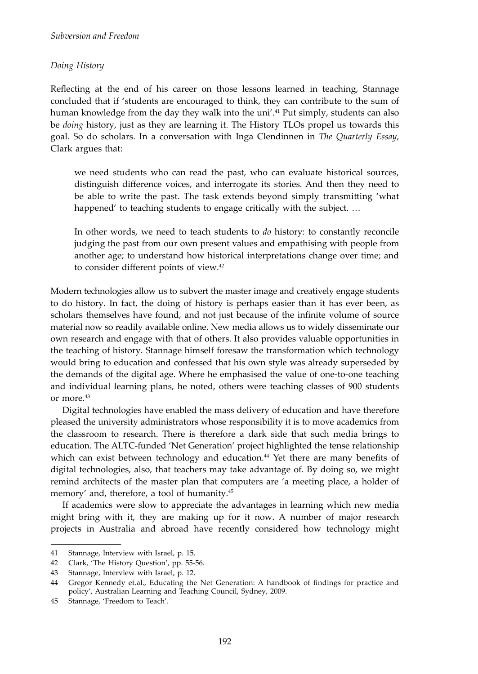#### *Doing History*

Reflecting at the end of his career on those lessons learned in teaching, Stannage concluded that if 'students are encouraged to think, they can contribute to the sum of human knowledge from the day they walk into the uni'.<sup>41</sup> Put simply, students can also be *doing* history, just as they are learning it. The History TLOs propel us towards this goal. So do scholars. In a conversation with Inga Clendinnen in *The Quarterly Essay*, Clark argues that:

we need students who can read the past, who can evaluate historical sources, distinguish difference voices, and interrogate its stories. And then they need to be able to write the past. The task extends beyond simply transmitting 'what happened' to teaching students to engage critically with the subject. …

In other words, we need to teach students to *do* history: to constantly reconcile judging the past from our own present values and empathising with people from another age; to understand how historical interpretations change over time; and to consider different points of view.<sup>42</sup>

Modern technologies allow us to subvert the master image and creatively engage students to do history. In fact, the doing of history is perhaps easier than it has ever been, as scholars themselves have found, and not just because of the infinite volume of source material now so readily available online. New media allows us to widely disseminate our own research and engage with that of others. It also provides valuable opportunities in the teaching of history. Stannage himself foresaw the transformation which technology would bring to education and confessed that his own style was already superseded by the demands of the digital age. Where he emphasised the value of one-to-one teaching and individual learning plans, he noted, others were teaching classes of 900 students or more.<sup>43</sup>

Digital technologies have enabled the mass delivery of education and have therefore pleased the university administrators whose responsibility it is to move academics from the classroom to research. There is therefore a dark side that such media brings to education. The ALTC-funded 'Net Generation' project highlighted the tense relationship which can exist between technology and education. $44$  Yet there are many benefits of digital technologies, also, that teachers may take advantage of. By doing so, we might remind architects of the master plan that computers are 'a meeting place, a holder of memory' and, therefore, a tool of humanity.<sup>45</sup>

If academics were slow to appreciate the advantages in learning which new media might bring with it, they are making up for it now. A number of major research projects in Australia and abroad have recently considered how technology might

<sup>41</sup> Stannage, Interview with Israel, p. 15.

<sup>42</sup> Clark, 'The History Question', pp. 55-56.

<sup>43</sup> Stannage, Interview with Israel, p. 12.

<sup>44</sup> Gregor Kennedy et.al., Educating the Net Generation: A handbook of findings for practice and policy', Australian Learning and Teaching Council, Sydney, 2009.

<sup>45</sup> Stannage, 'Freedom to Teach'.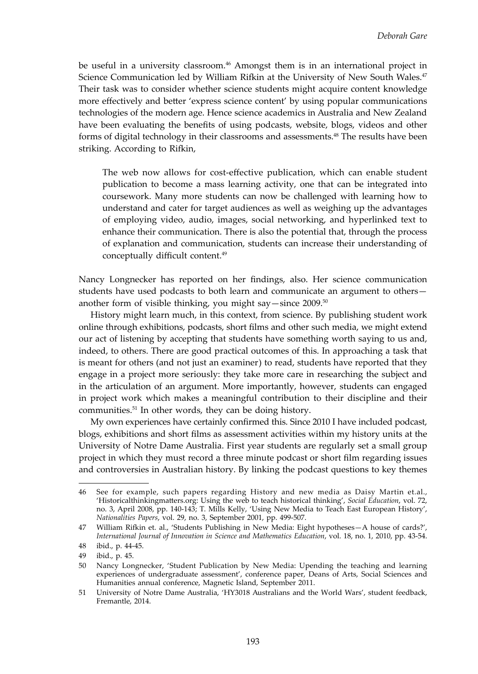be useful in a university classroom.<sup>46</sup> Amongst them is in an international project in Science Communication led by William Rifkin at the University of New South Wales.<sup>47</sup> Their task was to consider whether science students might acquire content knowledge more effectively and better 'express science content' by using popular communications technologies of the modern age. Hence science academics in Australia and New Zealand have been evaluating the benefits of using podcasts, website, blogs, videos and other forms of digital technology in their classrooms and assessments.48 The results have been striking. According to Rifkin,

The web now allows for cost-effective publication, which can enable student publication to become a mass learning activity, one that can be integrated into coursework. Many more students can now be challenged with learning how to understand and cater for target audiences as well as weighing up the advantages of employing video, audio, images, social networking, and hyperlinked text to enhance their communication. There is also the potential that, through the process of explanation and communication, students can increase their understanding of conceptually difficult content.<sup>49</sup>

Nancy Longnecker has reported on her findings, also. Her science communication students have used podcasts to both learn and communicate an argument to others another form of visible thinking, you might say—since 2009.<sup>50</sup>

History might learn much, in this context, from science. By publishing student work online through exhibitions, podcasts, short films and other such media, we might extend our act of listening by accepting that students have something worth saying to us and, indeed, to others. There are good practical outcomes of this. In approaching a task that is meant for others (and not just an examiner) to read, students have reported that they engage in a project more seriously: they take more care in researching the subject and in the articulation of an argument. More importantly, however, students can engaged in project work which makes a meaningful contribution to their discipline and their communities.51 In other words, they can be doing history.

My own experiences have certainly confirmed this. Since 2010 I have included podcast, blogs, exhibitions and short films as assessment activities within my history units at the University of Notre Dame Australia. First year students are regularly set a small group project in which they must record a three minute podcast or short film regarding issues and controversies in Australian history. By linking the podcast questions to key themes

<sup>46</sup> See for example, such papers regarding History and new media as Daisy Martin et.al., 'Historicalthinkingmatters.org: Using the web to teach historical thinking', *Social Education*, vol. 72, no. 3, April 2008, pp. 140-143; T. Mills Kelly, 'Using New Media to Teach East European History', *Nationalities Papers*, vol. 29, no. 3, September 2001, pp. 499-507.

<sup>47</sup> William Rifkin et. al., 'Students Publishing in New Media: Eight hypotheses—A house of cards?', *International Journal of Innovation in Science and Mathematics Education*, vol. 18, no. 1, 2010, pp. 43-54.

<sup>48</sup> ibid., p. 44-45.

<sup>49</sup> ibid., p. 45.

<sup>50</sup> Nancy Longnecker, 'Student Publication by New Media: Upending the teaching and learning experiences of undergraduate assessment', conference paper, Deans of Arts, Social Sciences and Humanities annual conference, Magnetic Island, September 2011.

<sup>51</sup> University of Notre Dame Australia, 'HY3018 Australians and the World Wars', student feedback, Fremantle, 2014.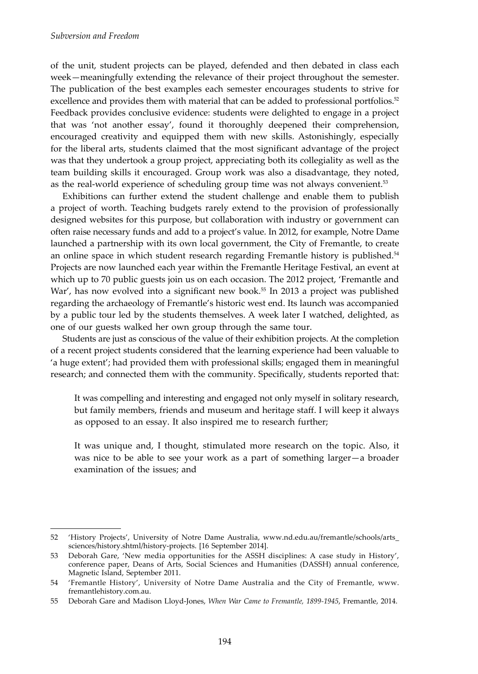of the unit, student projects can be played, defended and then debated in class each week—meaningfully extending the relevance of their project throughout the semester. The publication of the best examples each semester encourages students to strive for excellence and provides them with material that can be added to professional portfolios.<sup>52</sup> Feedback provides conclusive evidence: students were delighted to engage in a project that was 'not another essay', found it thoroughly deepened their comprehension, encouraged creativity and equipped them with new skills. Astonishingly, especially for the liberal arts, students claimed that the most significant advantage of the project was that they undertook a group project, appreciating both its collegiality as well as the team building skills it encouraged. Group work was also a disadvantage, they noted, as the real-world experience of scheduling group time was not always convenient.53

Exhibitions can further extend the student challenge and enable them to publish a project of worth. Teaching budgets rarely extend to the provision of professionally designed websites for this purpose, but collaboration with industry or government can often raise necessary funds and add to a project's value. In 2012, for example, Notre Dame launched a partnership with its own local government, the City of Fremantle, to create an online space in which student research regarding Fremantle history is published.<sup>54</sup> Projects are now launched each year within the Fremantle Heritage Festival, an event at which up to 70 public guests join us on each occasion. The 2012 project, 'Fremantle and War', has now evolved into a significant new book.<sup>55</sup> In 2013 a project was published regarding the archaeology of Fremantle's historic west end. Its launch was accompanied by a public tour led by the students themselves. A week later I watched, delighted, as one of our guests walked her own group through the same tour.

Students are just as conscious of the value of their exhibition projects. At the completion of a recent project students considered that the learning experience had been valuable to 'a huge extent'; had provided them with professional skills; engaged them in meaningful research; and connected them with the community. Specifically, students reported that:

It was compelling and interesting and engaged not only myself in solitary research, but family members, friends and museum and heritage staff. I will keep it always as opposed to an essay. It also inspired me to research further;

It was unique and, I thought, stimulated more research on the topic. Also, it was nice to be able to see your work as a part of something larger—a broader examination of the issues; and

<sup>52</sup> 'History Projects', University of Notre Dame Australia, www.nd.edu.au/fremantle/schools/arts\_ sciences/history.shtml/history-projects. [16 September 2014].

<sup>53</sup> Deborah Gare, 'New media opportunities for the ASSH disciplines: A case study in History', conference paper, Deans of Arts, Social Sciences and Humanities (DASSH) annual conference, Magnetic Island, September 2011.

<sup>54</sup> 'Fremantle History', University of Notre Dame Australia and the City of Fremantle, www. fremantlehistory.com.au.

<sup>55</sup> Deborah Gare and Madison Lloyd-Jones, *When War Came to Fremantle, 1899-1945*, Fremantle, 2014.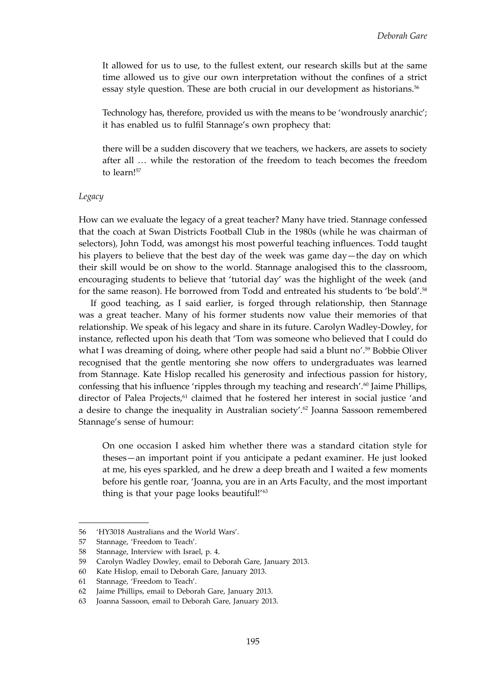It allowed for us to use, to the fullest extent, our research skills but at the same time allowed us to give our own interpretation without the confines of a strict essay style question. These are both crucial in our development as historians.<sup>56</sup>

Technology has, therefore, provided us with the means to be 'wondrously anarchic'; it has enabled us to fulfil Stannage's own prophecy that:

there will be a sudden discovery that we teachers, we hackers, are assets to society after all … while the restoration of the freedom to teach becomes the freedom to learn!<sup>57</sup>

#### *Legacy*

How can we evaluate the legacy of a great teacher? Many have tried. Stannage confessed that the coach at Swan Districts Football Club in the 1980s (while he was chairman of selectors), John Todd, was amongst his most powerful teaching influences. Todd taught his players to believe that the best day of the week was game day—the day on which their skill would be on show to the world. Stannage analogised this to the classroom, encouraging students to believe that 'tutorial day' was the highlight of the week (and for the same reason). He borrowed from Todd and entreated his students to 'be bold'.<sup>58</sup>

If good teaching, as I said earlier, is forged through relationship, then Stannage was a great teacher. Many of his former students now value their memories of that relationship. We speak of his legacy and share in its future. Carolyn Wadley-Dowley, for instance, reflected upon his death that 'Tom was someone who believed that I could do what I was dreaming of doing, where other people had said a blunt no'.<sup>59</sup> Bobbie Oliver recognised that the gentle mentoring she now offers to undergraduates was learned from Stannage. Kate Hislop recalled his generosity and infectious passion for history, confessing that his influence 'ripples through my teaching and research'.<sup>60</sup> Jaime Phillips, director of Palea Projects,<sup>61</sup> claimed that he fostered her interest in social justice 'and a desire to change the inequality in Australian society'.62 Joanna Sassoon remembered Stannage's sense of humour:

On one occasion I asked him whether there was a standard citation style for theses—an important point if you anticipate a pedant examiner. He just looked at me, his eyes sparkled, and he drew a deep breath and I waited a few moments before his gentle roar, 'Joanna, you are in an Arts Faculty, and the most important thing is that your page looks beautiful!'<sup>63</sup>

<sup>56</sup> 'HY3018 Australians and the World Wars'.

<sup>57</sup> Stannage, 'Freedom to Teach'.

<sup>58</sup> Stannage, Interview with Israel, p. 4.

<sup>59</sup> Carolyn Wadley Dowley, email to Deborah Gare, January 2013.

<sup>60</sup> Kate Hislop, email to Deborah Gare, January 2013.

<sup>61</sup> Stannage, 'Freedom to Teach'.

<sup>62</sup> Jaime Phillips, email to Deborah Gare, January 2013.

<sup>63</sup> Joanna Sassoon, email to Deborah Gare, January 2013.